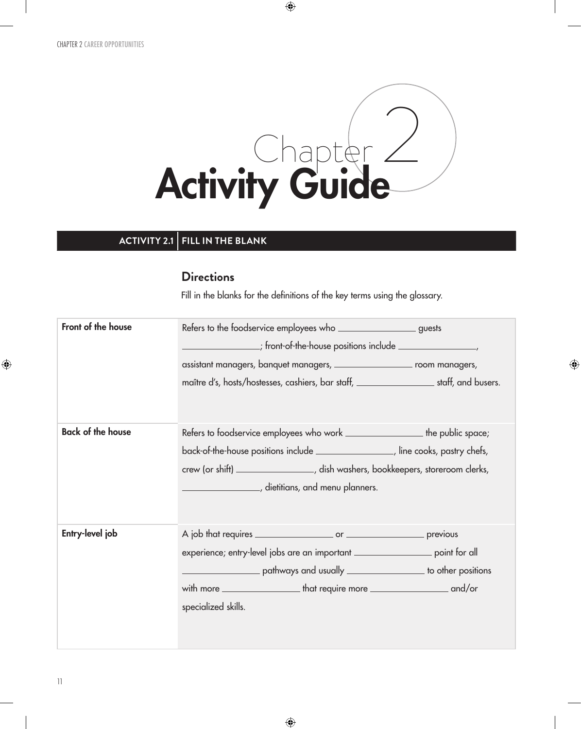

 $\bigoplus$ 

### **ACTIVITY 2.1 FILL IN THE BLANK**

#### **Directions**

Fill in the blanks for the definitions of the key terms using the glossary.

 $\bigoplus$ 

| Front of the house       | Refers to the foodservice employees who _______________________ guests                       |  |  |  |
|--------------------------|----------------------------------------------------------------------------------------------|--|--|--|
|                          | _;        front-of-the-house positions include ___________________,                          |  |  |  |
|                          | assistant managers, banquet managers, ____________________ room managers,                    |  |  |  |
|                          | maître d's, hosts/hostesses, cashiers, bar staff, ________________________staff, and busers. |  |  |  |
| <b>Back of the house</b> | Refers to foodservice employees who work _______________________the public space;            |  |  |  |
|                          | back-of-the-house positions include ______________________, line cooks, pastry chefs,        |  |  |  |
|                          | crew (or shift) ___________________, dish washers, bookkeepers, storeroom clerks,            |  |  |  |
|                          | <u>__________________</u> __, dietitians, and menu planners.                                 |  |  |  |
| Entry-level job          |                                                                                              |  |  |  |
|                          | experience; entry-level jobs are an important _____________________ point for all            |  |  |  |
|                          | example of the parameter of the positions pathways and usually example to other positions    |  |  |  |
|                          |                                                                                              |  |  |  |
|                          | specialized skills.                                                                          |  |  |  |
|                          |                                                                                              |  |  |  |
|                          |                                                                                              |  |  |  |

 $\bigoplus$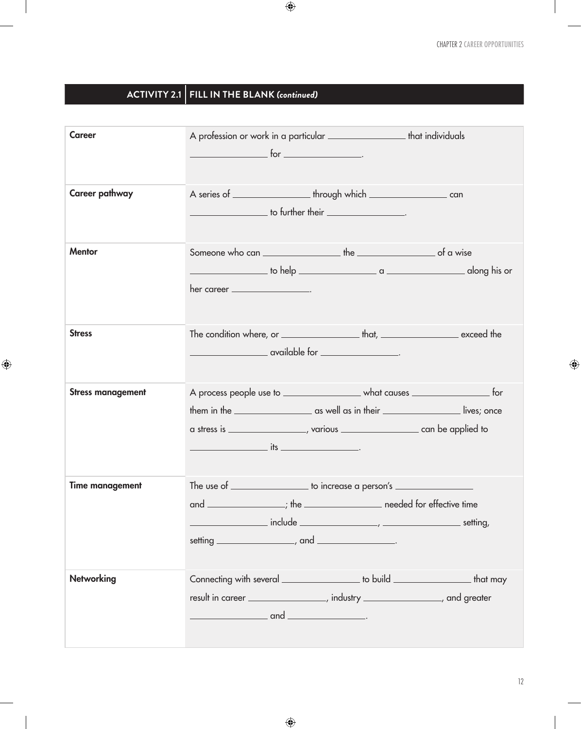1

 $\bigoplus$ 

# **ACTIVITY 2.1 FILL IN THE BLANK** *(continued)*

 $\mathcal{L}$ 

 $\bigoplus$ 

 $\overline{\phantom{a}}$ 

| <b>Career</b>            | A profession or work in a particular _______________________that individuals                                                                                                                                                                                                                                                                                                                                                                      |
|--------------------------|---------------------------------------------------------------------------------------------------------------------------------------------------------------------------------------------------------------------------------------------------------------------------------------------------------------------------------------------------------------------------------------------------------------------------------------------------|
| Career pathway           | $\frac{1}{2}$ to further their $\frac{1}{2}$ .                                                                                                                                                                                                                                                                                                                                                                                                    |
| <b>Mentor</b>            | her career $\_\_$                                                                                                                                                                                                                                                                                                                                                                                                                                 |
| <b>Stress</b>            | <u>and a contract of the set of the set of the set of the set of the set of the set of the set of the set of the s</u>                                                                                                                                                                                                                                                                                                                            |
| <b>Stress management</b> | A process people use to ________________________ what causes ___________________ for<br>$\frac{1}{2}$ its $\frac{1}{2}$ its $\frac{1}{2}$ its $\frac{1}{2}$ its $\frac{1}{2}$ its $\frac{1}{2}$ its $\frac{1}{2}$ its $\frac{1}{2}$ its $\frac{1}{2}$ its $\frac{1}{2}$ its $\frac{1}{2}$ its $\frac{1}{2}$ its $\frac{1}{2}$ its $\frac{1}{2}$ its $\frac{1}{2}$ its $\frac{1}{2}$ i                                                             |
| <b>Time management</b>   | The use of ___________________ to increase a person's __________________________<br>and _________________; the _______________________ needed for effective time<br>example and include the contract of the contract of the contract of the contract of the contract of the contract of the contract of the contract of the contract of the contract of the contract of the contract of the contra<br>setting $\frac{1}{1}$ , and $\frac{1}{1}$ . |
| <b>Networking</b>        | Connecting with several ___________________ to build ______________________ that may<br>result in career ________________, industry _____________, and greater<br>$\overline{\phantom{a}}$ and $\overline{\phantom{a}}$                                                                                                                                                                                                                           |

 $\bigoplus$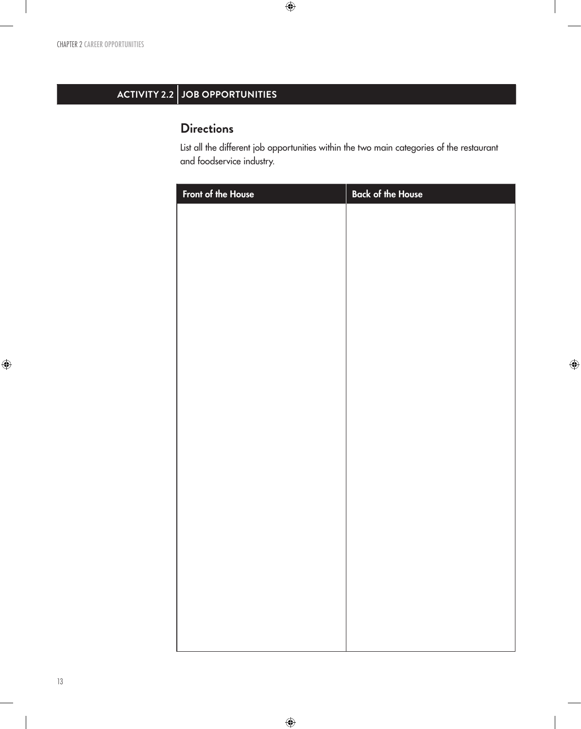# **ACTIVITY 2.2 JOB OPPORTUNITIES**

## **Directions**

List all the different job opportunities within the two main categories of the restaurant and foodservice industry.

 $\bigoplus$ 

| Front of the House | <b>Back of the House</b> |
|--------------------|--------------------------|
|                    |                          |
|                    |                          |
|                    |                          |
|                    |                          |
|                    |                          |
|                    |                          |
|                    |                          |
|                    |                          |
|                    |                          |
|                    |                          |
|                    |                          |
|                    |                          |
|                    |                          |
|                    |                          |
|                    |                          |
|                    |                          |
|                    |                          |
|                    |                          |
|                    |                          |
|                    |                          |
|                    |                          |
|                    |                          |
|                    |                          |

 $\bigoplus$ 

 $\bigoplus$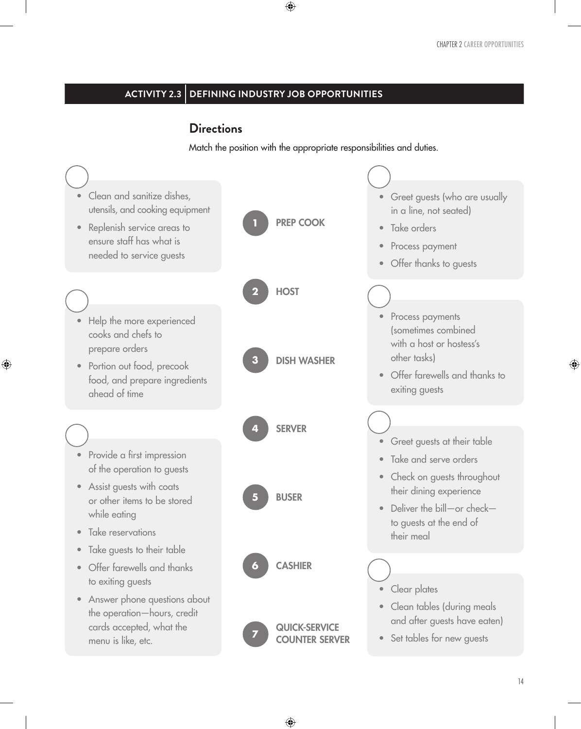### **ACTIVITY 2.3 DEFINING INDUSTRY JOB OPPORTUNITIES**

#### **Directions**

⊕

Match the position with the appropriate responsibilities and duties.

 $\bigoplus$ 



⊕

⊕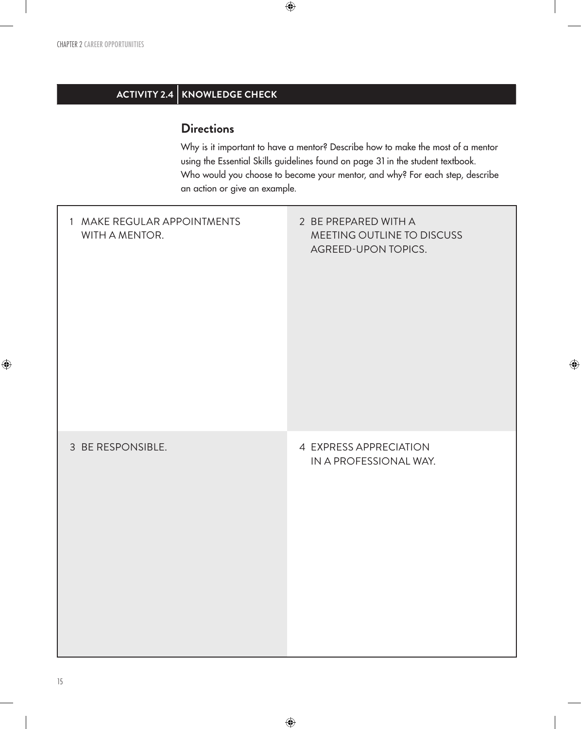## **ACTIVITY 2.4 KNOWLEDGE CHECK**

### **Directions**

Why is it important to have a mentor? Describe how to make the most of a mentor using the Essential Skills guidelines found on page 31 in the student textbook. Who would you choose to become your mentor, and why? For each step, describe an action or give an example.

 $\bigoplus$ 

 $\bigoplus$ 

| 1 MAKE REGULAR APPOINTMENTS<br>WITH A MENTOR. | 2 BE PREPARED WITH A<br>MEETING OUTLINE TO DISCUSS<br>AGREED-UPON TOPICS. |
|-----------------------------------------------|---------------------------------------------------------------------------|
| 3 BE RESPONSIBLE.                             | 4 EXPRESS APPRECIATION<br>IN A PROFESSIONAL WAY.                          |

 $\bigoplus$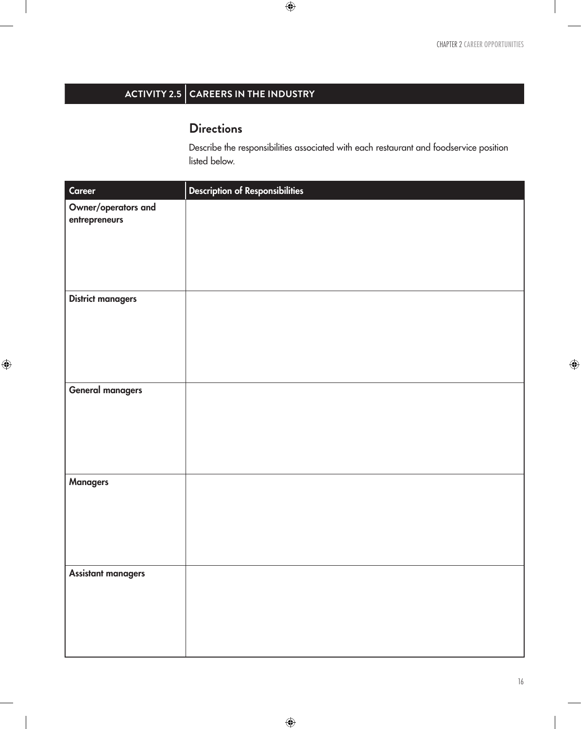# **ACTIVITY 2.5 CAREERS IN THE INDUSTRY**

## **Directions**

Describe the responsibilities associated with each restaurant and foodservice position listed below.

 $\bigoplus$ 

| Career                               | <b>Description of Responsibilities</b> |
|--------------------------------------|----------------------------------------|
| Owner/operators and<br>entrepreneurs |                                        |
| <b>District managers</b>             |                                        |
| <b>General managers</b>              |                                        |
| <b>Managers</b>                      |                                        |
| <b>Assistant managers</b>            |                                        |

 $\bigoplus$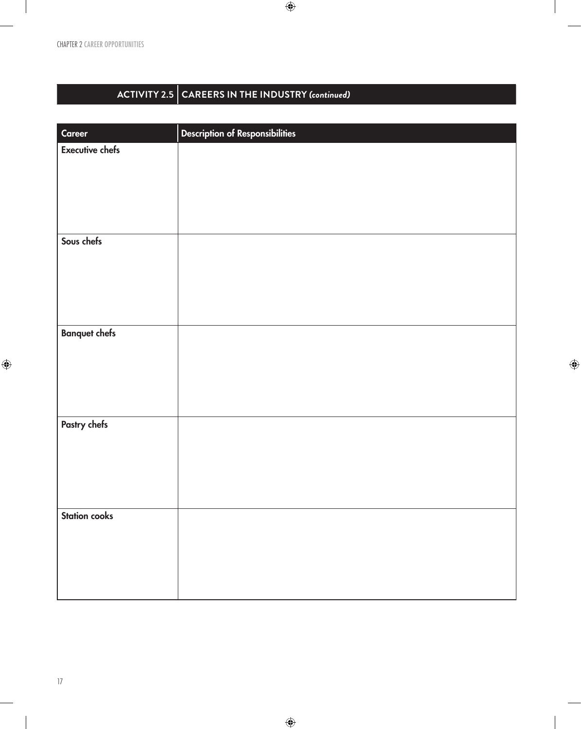CHAPTER 2 CAREER OPPORTUNITIES

 $\overline{\phantom{a}}$ 

# **ACTIVITY 2.5 CAREERS IN THE INDUSTRY** *(continued)*

 $\bigoplus$ 

| Career                 | <b>Description of Responsibilities</b> |
|------------------------|----------------------------------------|
| <b>Executive chefs</b> |                                        |
|                        |                                        |
|                        |                                        |
|                        |                                        |
|                        |                                        |
|                        |                                        |
|                        |                                        |
| Sous chefs             |                                        |
|                        |                                        |
|                        |                                        |
|                        |                                        |
|                        |                                        |
|                        |                                        |
| <b>Banquet chefs</b>   |                                        |
|                        |                                        |
|                        |                                        |
|                        |                                        |
|                        |                                        |
|                        |                                        |
|                        |                                        |
| Pastry chefs           |                                        |
|                        |                                        |
|                        |                                        |
|                        |                                        |
|                        |                                        |
|                        |                                        |
| <b>Station cooks</b>   |                                        |
|                        |                                        |
|                        |                                        |
|                        |                                        |
|                        |                                        |
|                        |                                        |

 $\bigoplus$ 

 $\bigoplus$ 

 $\overline{\phantom{a}}$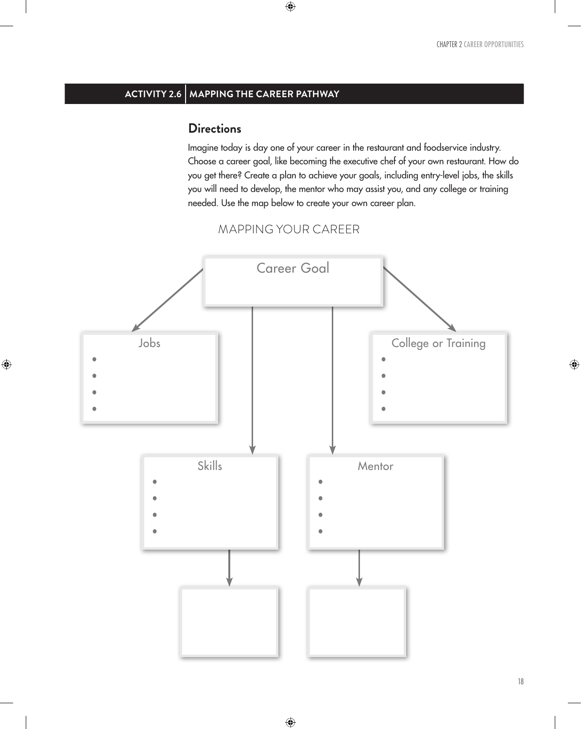## **ACTIVITY 2.6 MAPPING THE CAREER PATHWAY**

#### **Directions**

 $\bigoplus$ 

Imagine today is day one of your career in the restaurant and foodservice industry. Choose a career goal, like becoming the executive chef of your own restaurant. How do you get there? Create a plan to achieve your goals, including entry-level jobs, the skills you will need to develop, the mentor who may assist you, and any college or training needed. Use the map below to create your own career plan.



 $\bigoplus$ 



 $\bigoplus$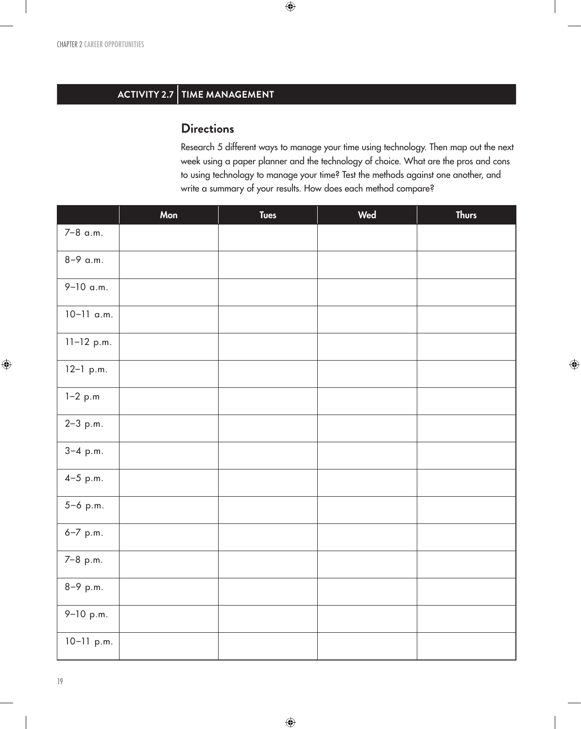## **ACTIVITY 2.7** TIME MANAGEMENT

### **Directions**

Research 5 different ways to manage your time using technology. Then map out the next week using a paper planner and the technology of choice. What are the pros and cons to using technology to manage your time? Test the methods against one another, and write a summary of your results. How does each method compare?

 $\bigoplus$ 

|              | Mon | <b>Tues</b> | Wed | <b>Thurs</b> |
|--------------|-----|-------------|-----|--------------|
| 7-8 a.m.     |     |             |     |              |
| 8-9 a.m.     |     |             |     |              |
| $9-10$ a.m.  |     |             |     |              |
| $10-11$ a.m. |     |             |     |              |
| $11-12$ p.m. |     |             |     |              |
| $12-1$ p.m.  |     |             |     |              |
| $1 - 2 p.m$  |     |             |     |              |
| $2 - 3 p.m.$ |     |             |     |              |
| $3-4$ p.m.   |     |             |     |              |
| $4 - 5$ p.m. |     |             |     |              |
| $5 - 6$ p.m. |     |             |     |              |
| 6-7 p.m.     |     |             |     |              |
| 7-8 p.m.     |     |             |     |              |
| 8-9 p.m.     |     |             |     |              |
| 9-10 p.m.    |     |             |     |              |
| $10-11$ p.m. |     |             |     |              |

 $\bigoplus$ 

19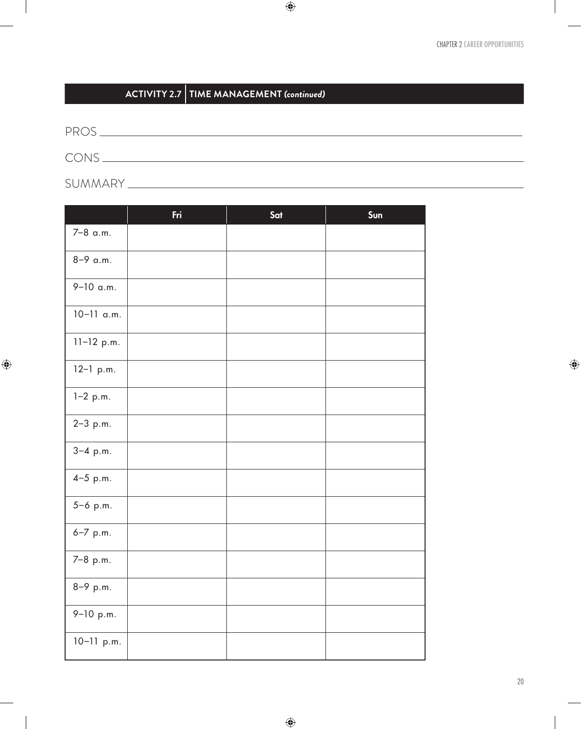## **ACTIVITY 2.7 TIME MANAGEMENT** *(continued)*

PROS CONS SUMMARY

 $\bigoplus$ 

Fri Sat Sun 7–8 a.m. 8–9 a.m. 9–10 a.m. 10–11 a.m. 11–12 p.m. 12–1 p.m. 1–2 p.m. 2–3 p.m. 3–4 p.m. 4–5 p.m. 5–6 p.m. 6–7 p.m. 7–8 p.m. 8–9 p.m. 9–10 p.m. 10–11 p.m.

 $\bigoplus$ 

 $\bigoplus$ 

 $\begin{array}{c} \hline \end{array}$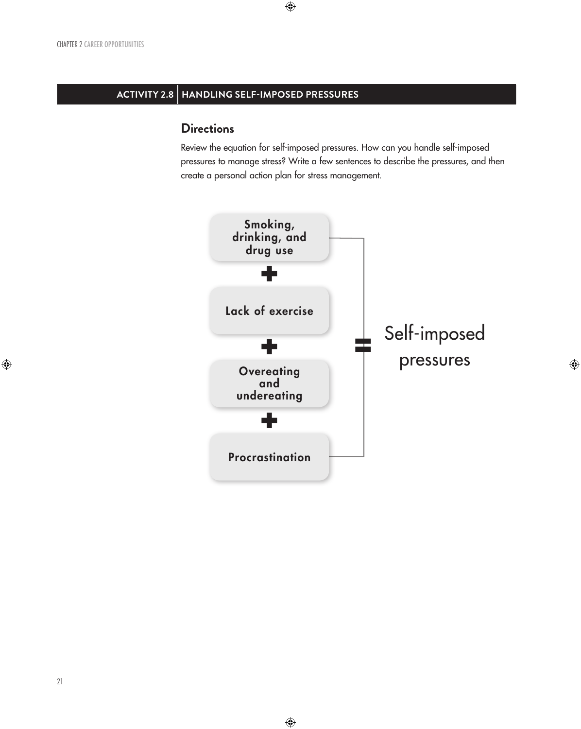## **ACTIVITY 2.8 HANDLING SELF-IMPOSED PRESSURES**

 $\bigoplus$ 

#### **Directions**

Review the equation for self-imposed pressures. How can you handle self-imposed pressures to manage stress? Write a few sentences to describe the pressures, and then create a personal action plan for stress management.



 $\bigoplus$ 

 $\bigoplus$ 

21